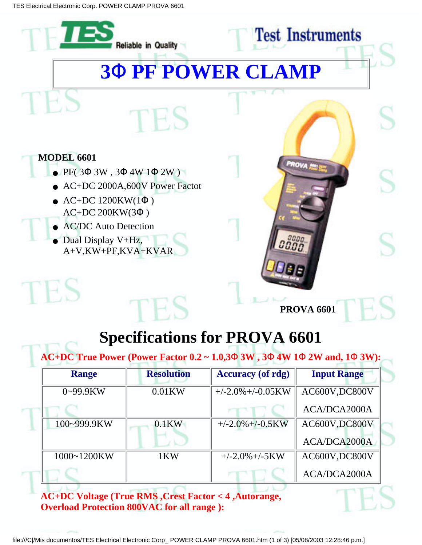

**AC+DC Voltage (True RMS ,Crest Factor < 4 ,Autorange, Overload Protection 800VAC for all range ):**

ACA/DCA2000A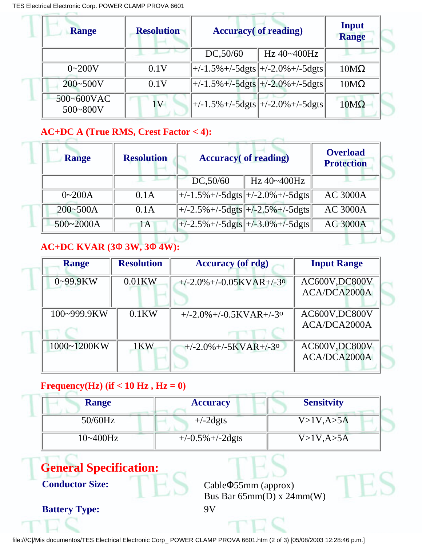| <b>Range</b>               | <b>Resolution</b> | <b>Accuracy</b> (of reading)                                                               |                                                                                            | Input<br><b>Range</b> |  |
|----------------------------|-------------------|--------------------------------------------------------------------------------------------|--------------------------------------------------------------------------------------------|-----------------------|--|
|                            |                   | DC, 50/60                                                                                  | Hz $40 - 400$ Hz                                                                           |                       |  |
| $0 - 200V$                 | 0.1V              |                                                                                            | $\left +/-1.5\%+/-5\mathrm{d}g\mathrm{ts}\right +/-2.0\%+/-5\mathrm{d}g\mathrm{ts}\right $ | $10M\Omega$           |  |
| $200 - 500V$               | 0.1V              | $\left +/-1.5\%+/-5\mathrm{d}g\mathrm{ts}\right +/-2.0\%+/-5\mathrm{d}g\mathrm{ts}\right $ |                                                                                            | $10M\Omega$           |  |
| 500~600VAC<br>$500 - 800V$ |                   | $\left +/-1.5\%+/-5\frac{d}{dt}s\right +/-2.0\%+/-5\frac{d}{dt}s$                          |                                                                                            | $10M\Omega$           |  |

## **AC+DC A (True RMS, Crest Factor < 4):**

| <b>Range</b> | <b>Resolution</b> | <b>Accuracy</b> (of reading)                                                                             |             | <b>Overload</b><br><b>Protection</b> |
|--------------|-------------------|----------------------------------------------------------------------------------------------------------|-------------|--------------------------------------|
|              |                   | DC, 50/60                                                                                                | Hz 40~400Hz |                                      |
| $0 - 200A$   | 0.1A              | $\left +/-1.5\%+/-5\mathrm{d}g\mathrm{ts}\right +/-2.0\%+/-5\mathrm{d}g\mathrm{ts}\right $               |             | <b>AC 3000A</b>                      |
| $200 - 500A$ | 0.1A              | $\sqrt{\frac{+}{2.5\% + (-5 \text{d} \text{g} \text{ts}) + (-2.5\% + (-5 \text{d} \text{g} \text{ts})}}$ |             | <b>AC 3000A</b>                      |
| 500~2000A    | 1A                | $\left +/-2.5\%+/-5\mathrm{d}g\mathrm{ts}\right +/-3.0\%+/-5\mathrm{d}g\mathrm{ts}\right $               |             | <b>AC 3000A</b>                      |

## **AC+DC KVAR (3**Φ **3W, 3**Φ **4W):**

| <b>Range</b>  | <b>Resolution</b> | <b>Accuracy</b> (of rdg)                    | <b>Input Range</b> |
|---------------|-------------------|---------------------------------------------|--------------------|
| $0 - 99.9$ KW | $0.01$ KW         | $+/-2.0\% +/-0.05$ KVAR+ $/-3$ <sup>o</sup> | AC600V, DC800V     |
|               |                   |                                             | ACA/DCA2000A       |
| 100~999.9KW   | $0.1$ KW          | $+/-2.0\% +/-0.5$ KVAR+ $/-3$ <sup>o</sup>  | AC600V,DC800V      |
|               |                   |                                             | ACA/DCA2000A       |
| 1000~1200KW   | 1KW               | $+/-2.0\% +/-5$ KVAR+ $/-3$ <sup>o</sup>    | AC600V, DC800V     |
|               |                   |                                             | ACA/DCA2000A       |

## **Frequency**(**Hz**) (**if**  $<$  **10 Hz** , **Hz** = 0)

| <b>Range</b> | <b>Accuracy</b>      | <b>Sensitvity</b> |
|--------------|----------------------|-------------------|
| $50/60$ Hz   | $+/-2$ dgts          | $V>1V$ , A $>5A$  |
| 10~400Hz     | $+/-0.5\% +/-2$ dgts | V>1V, A>5A        |



file:///C|/Mis documentos/TES Electrical Electronic Corp\_ POWER CLAMP PROVA 6601.htm (2 of 3) [05/08/2003 12:28:46 p.m.]